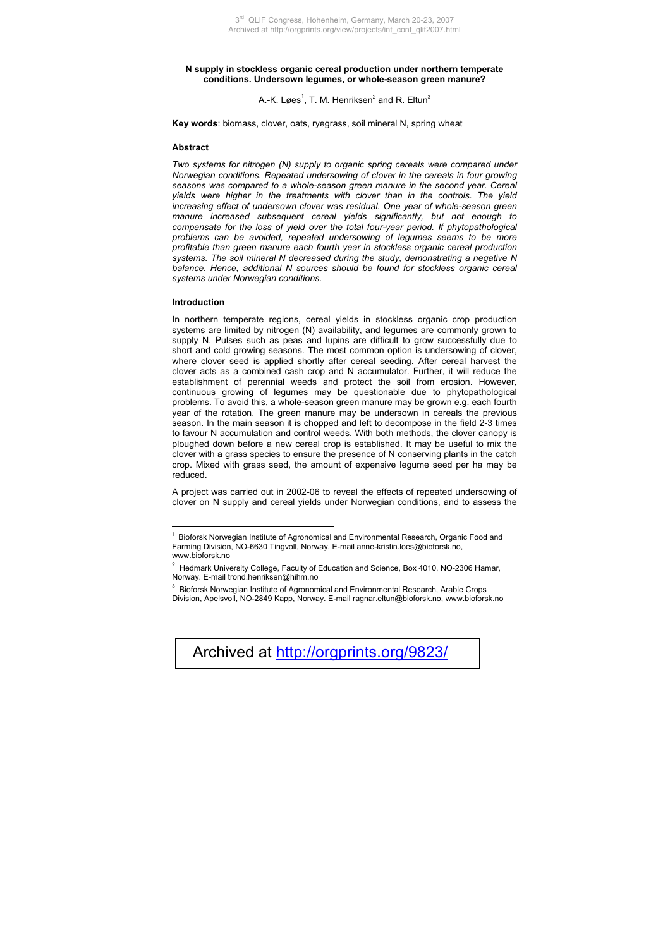### **N supply in stockless organic cereal production under northern temperate conditions. Undersown legumes, or whole-season green manure?**

A.-K. Løes<sup>1</sup>, T. M. Henriksen<sup>2</sup> and R. Eltun<sup>3</sup>

**Key words**: biomass, clover, oats, ryegrass, soil mineral N, spring wheat

### **Abstract**

*Two systems for nitrogen (N) supply t[o](#page-0-0) organic spring cereals were compared under Norwegian conditions. Repeated undersowing of clover in the cereals in four growing seasons was compared to a whole-season green manure in the second year. Cereal yields were higher in the treatments with clover than in the controls. The yield increasing effect of undersown clover was residual. One year of whole-season green manure increased subsequent cereal yields significantly, but not enough to compensate for the loss of yield over the total four-year period. If phytopathological problems can be avoided, repeated undersowing of legumes seems to be more profitable than green manure each fourth year in stockless organic cereal production systems. The soil mineral N decreased during the study, demonstrating a negative N balance. Hence, additional N sources should be found for stockless organic cereal systems under Norwegian conditions.* 

#### **Introduction**

 $\overline{a}$ 

In northern temperate regions, cereal yields in stockless organic crop production systems are limited by nitrogen (N) availability, and legumes are commonly grown to supply N. Pulses such as peas and lupins are difficult to grow successfully due to short and cold growing seasons. The most common option is undersowing of clover, where clover seed is applied shortly after cereal seeding. After cereal harvest the clover acts as a combined cash crop and N accumulator. Further, it will reduce the establishment of perennial weeds and protect the soil from erosion. However, continuous growing of legumes may be questionable due to phytopathological problems. To avoid this, a whole-season green manure may be grown e.g. each fourth year of the rotation. The green manure may be undersown in cereals the previous season. In the main season it is chopped and left to decompose in the field 2-3 times to favour N accumulation and control weeds. With both methods, the clover canopy is ploughed down before a new cereal crop is established. It may be useful to mix the clover with a grass species to ensure the presence of N conserving plants in the catch crop. Mixed with grass seed, the amount of expensive legume seed per ha may be reduced.

A project was carried out in 2002-06 to reveal the effects of repeated undersowing of clover on N supply and cereal yields under Norwegian conditions, and to assess the

<span id="page-0-0"></span><sup>&</sup>lt;sup>3</sup> Bioforsk Norwegian Institute of Agronomical and Environmental Research, Arable Crops Division, Apelsvoll, NO-2849 Kapp, Norway. E-mail [ragnar.eltun@bioforsk.no,](mailto:ragnar.eltun@bioforsk.no) www.bioforsk.no



<sup>&</sup>lt;sup>1</sup> Bioforsk Norwegian Institute of Agronomical and Environmental Research, Organic Food and Farming Division, NO-6630 Tingvoll, Norway, E-mail [anne-kristin.loes@bioforsk.no](mailto:anne-kristin.loes@bioforsk.no), www.bioforsk.no

 $2$  Hedmark University College, Faculty of Education and Science, Box 4010, NO-2306 Hamar, Norway. E-mail trond.henriksen@hihm.no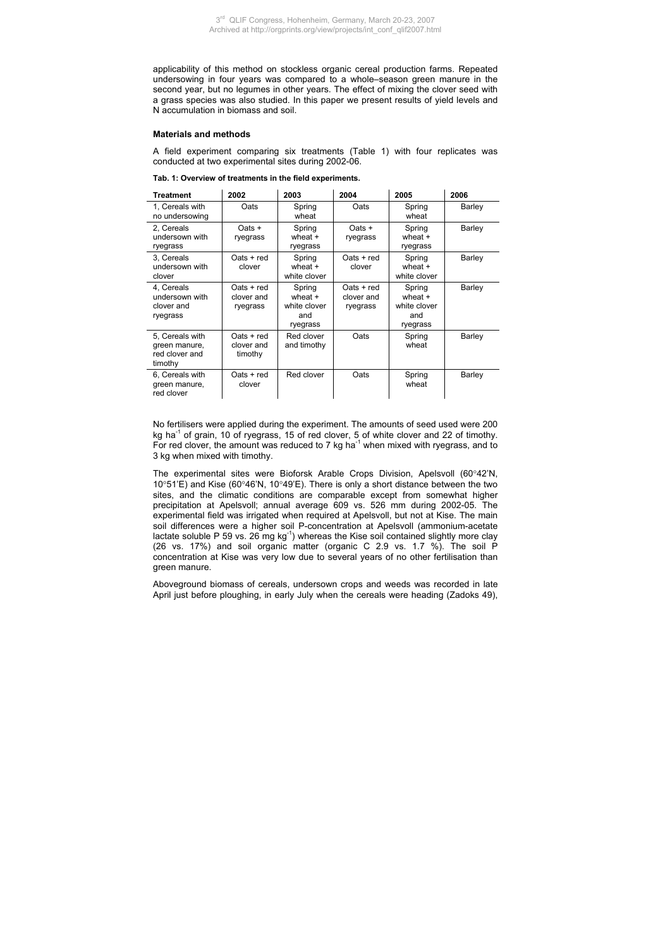applicability of this method on stockless organic cereal production farms. Repeated undersowing in four years was compared to a whole–season green manure in the second year, but no legumes in other years. The effect of mixing the clover seed with a grass species was also studied. In this paper we present results of yield levels and N accumulation in biomass and soil.

# **Materials and methods**

A field experiment comparing six treatments (Table 1) with four replicates was conducted at two experimental sites during 2002-06.

| Tab. 1: Overview of treatments in the field experiments. |
|----------------------------------------------------------|
|----------------------------------------------------------|

| <b>Treatment</b>                                              | 2002                                   | 2003                                                   | 2004                                 |                                                      | 2006          |
|---------------------------------------------------------------|----------------------------------------|--------------------------------------------------------|--------------------------------------|------------------------------------------------------|---------------|
| 1. Cereals with<br>no undersowing                             | Oats                                   | Spring<br>wheat                                        | Oats                                 | Spring<br>wheat                                      | <b>Barley</b> |
| 2. Cereals<br>undersown with<br>ryegrass                      | Oats +<br>ryegrass                     | Spring<br>wheat $+$<br>ryegrass                        | $Oats +$<br>ryegrass                 | Spring<br>wheat +<br>ryegrass                        | Barley        |
| 3. Cereals<br>undersown with<br>clover                        | $Oats + red$<br>clover                 | Spring<br>wheat $+$<br>white clover                    | $Oats + red$<br>clover               | Spring<br>wheat $+$<br>white clover                  | Barley        |
| 4. Cereals<br>undersown with<br>clover and<br>ryegrass        | $Oats + red$<br>clover and<br>ryegrass | Spring<br>wheat $+$<br>white clover<br>and<br>ryegrass | Oats + red<br>clover and<br>ryegrass | Spring<br>wheat +<br>white clover<br>and<br>ryegrass | Barley        |
| 5. Cereals with<br>green manure,<br>red clover and<br>timothy | $Oats + red$<br>clover and<br>timothy  | Red clover<br>and timothy                              | Oats                                 | Spring<br>wheat                                      | Barley        |
| 6. Cereals with<br>green manure,<br>red clover                | $Oats + red$<br>clover                 | Red clover                                             | Oats                                 | Spring<br>wheat                                      | Barley        |

No fertilisers were applied during the experiment. The amounts of seed used were 200 kg ha<sup>-1</sup> of grain, 10 of ryegrass, 15 of red clover, 5 of white clover and 22 of timothy. For red clover, the amount was reduced to 7 kg ha $^{-1}$  when mixed with ryegrass, and to 3 kg when mixed with timothy.

The experimental sites were Bioforsk Arable Crops Division, Apelsvoll (60°42'N, 10°51'E) and Kise (60°46'N, 10°49'E). There is only a short distance between the two sites, and the climatic conditions are comparable except from somewhat higher precipitation at Apelsvoll; annual average 609 vs. 526 mm during 2002-05. The experimental field was irrigated when required at Apelsvoll, but not at Kise. The main soil differences were a higher soil P-concentration at Apelsvoll (ammonium-acetate lactate soluble P 59 vs.  $26 \text{ mg}$  kg<sup>-1</sup>) whereas the Kise soil contained slightly more clay (26 vs. 17%) and soil organic matter (organic C 2.9 vs. 1.7 %). The soil P concentration at Kise was very low due to several years of no other fertilisation than green manure.

Aboveground biomass of cereals, undersown crops and weeds was recorded in late April just before ploughing, in early July when the cereals were heading (Zadoks 49),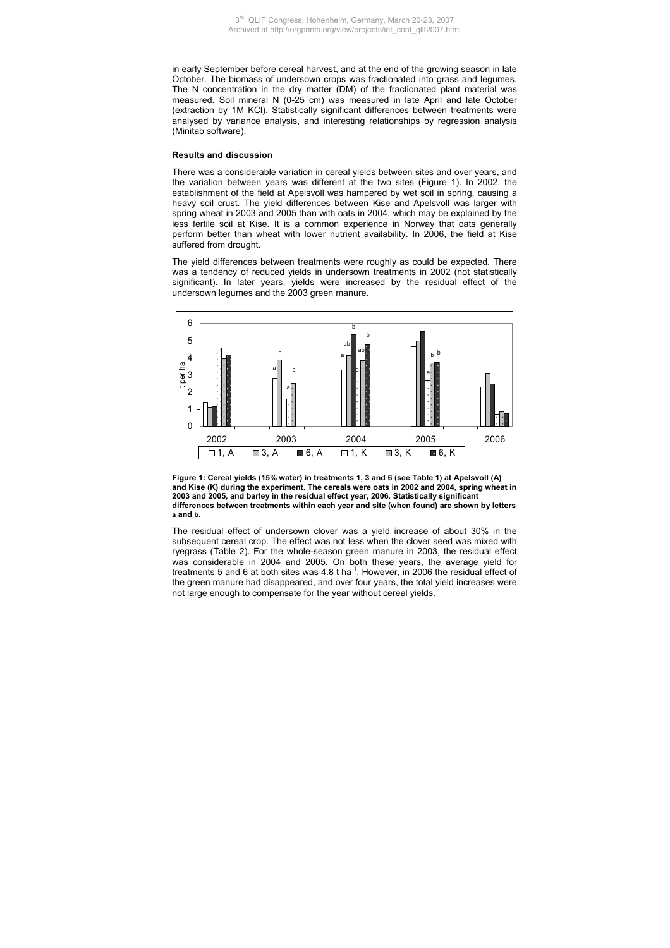in early September before cereal harvest, and at the end of the growing season in late October. The biomass of undersown crops was fractionated into grass and legumes. The N concentration in the dry matter (DM) of the fractionated plant material was measured. Soil mineral N (0-25 cm) was measured in late April and late October (extraction by 1M KCl). Statistically significant differences between treatments were analysed by variance analysis, and interesting relationships by regression analysis (Minitab software).

# **Results and discussion**

There was a considerable variation in cereal yields between sites and over years, and the variation between years was different at the two sites (Figure 1). In 2002, the establishment of the field at Apelsvoll was hampered by wet soil in spring, causing a heavy soil crust. The yield differences between Kise and Apelsvoll was larger with spring wheat in 2003 and 2005 than with oats in 2004, which may be explained by the less fertile soil at Kise. It is a common experience in Norway that oats generally perform better than wheat with lower nutrient availability. In 2006, the field at Kise suffered from drought.

The yield differences between treatments were roughly as could be expected. There was a tendency of reduced yields in undersown treatments in 2002 (not statistically significant). In later years, yields were increased by the residual effect of the undersown legumes and the 2003 green manure.





The residual effect of undersown clover was a yield increase of about 30% in the subsequent cereal crop. The effect was not less when the clover seed was mixed with ryegrass (Table 2). For the whole-season green manure in 2003, the residual effect was considerable in 2004 and 2005. On both these years, the average yield for treatments 5 and 6 at both sites was 4.8 t ha<sup>-1</sup>. However, in 2006 the residual effect of the green manure had disappeared, and over four years, the total yield increases were not large enough to compensate for the year without cereal yields.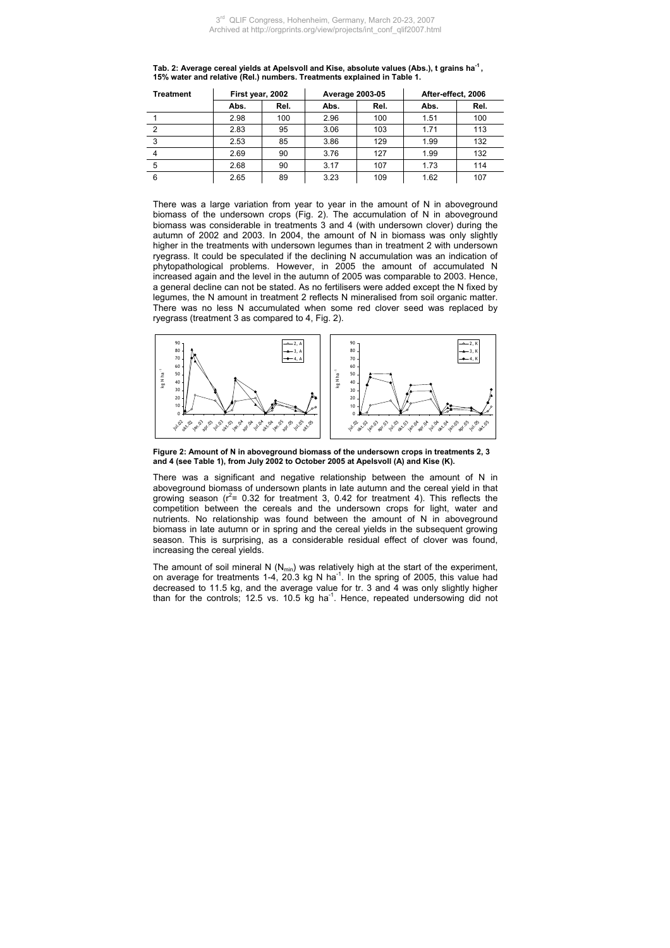| Treatment |      | First year, 2002 |      | Average 2003-05 |      | After-effect, 2006 |  |
|-----------|------|------------------|------|-----------------|------|--------------------|--|
|           | Abs. | Rel.             | Abs. | Rel.            | Abs. | Rel.               |  |
|           | 2.98 | 100              | 2.96 | 100             | 1.51 | 100                |  |
| 2         | 2.83 | 95               | 3.06 | 103             | 1.71 | 113                |  |
| 3         | 2.53 | 85               | 3.86 | 129             | 1.99 | 132                |  |
|           | 2.69 | 90               | 3.76 | 127             | 1.99 | 132                |  |
| 5         | 2.68 | 90               | 3.17 | 107             | 1.73 | 114                |  |
| 6         | 2.65 | 89               | 3.23 | 109             | 1.62 | 107                |  |

**Tab. 2: Average cereal yields at Apelsvoll and Kise, absolute values (Abs.), t grains ha-1 , 15% water and relative (Rel.) numbers. Treatments explained in Table 1.** 

There was a large variation from year to year in the amount of N in aboveground biomass of the undersown crops (Fig. 2). The accumulation of N in aboveground biomass was considerable in treatments 3 and 4 (with undersown clover) during the autumn of 2002 and 2003. In 2004, the amount of N in biomass was only slightly higher in the treatments with undersown legumes than in treatment 2 with undersown ryegrass. It could be speculated if the declining N accumulation was an indication of phytopathological problems. However, in 2005 the amount of accumulated N increased again and the level in the autumn of 2005 was comparable to 2003. Hence, a general decline can not be stated. As no fertilisers were added except the N fixed by legumes, the N amount in treatment 2 reflects N mineralised from soil organic matter. There was no less N accumulated when some red clover seed was replaced by ryegrass (treatment 3 as compared to 4, Fig. 2).



**Figure 2: Amount of N in aboveground biomass of the undersown crops in treatments 2, 3 and 4 (see Table 1), from July 2002 to October 2005 at Apelsvoll (A) and Kise (K).** 

There was a significant and negative relationship between the amount of N in aboveground biomass of undersown plants in late autumn and the cereal yield in that growing season ( $r^2$ = 0.32 for treatment 3, 0.42 for treatment 4). This reflects the competition between the cereals and the undersown crops for light, water and nutrients. No relationship was found between the amount of N in aboveground biomass in late autumn or in spring and the cereal yields in the subsequent growing season. This is surprising, as a considerable residual effect of clover was found, increasing the cereal yields.

The amount of soil mineral N  $(N_{min})$  was relatively high at the start of the experiment, on average for treatments 1-4, 20.3 kg N ha<sup>-1</sup>. In the spring of 2005, this value had decreased to 11.5 kg, and the average value for tr. 3 and 4 was only slightly higher than for the controls; 12.5 vs. 10.5 kg ha-1. Hence, repeated undersowing did not